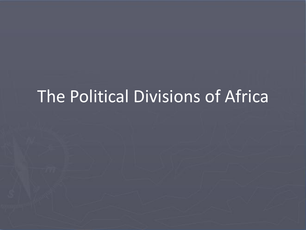# The Political Divisions of Africa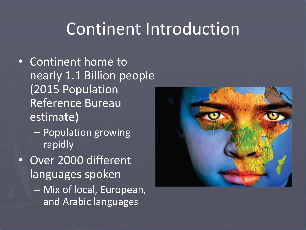#### Continent Introduction

- Continent home to nearly 1.1 Billion people (2015 Population Reference Bureau estimate)
	- Population growing rapidly
- Over 2000 different languages spoken
	- Mix of local, European, and Arabic languages

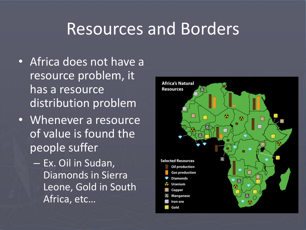#### Resources and Borders

- Africa does not have a resource problem, it has a resource distribution problem
- Whenever a resource of value is found the people suffer
	- Ex. Oil in Sudan, Diamonds in Sierra Leone, Gold in South Africa, etc…

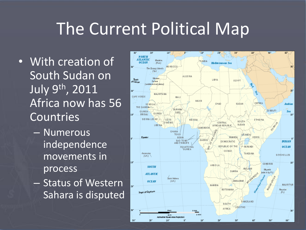#### The Current Political Map

- With creation of South Sudan on July 9th, 2011 Africa now has 56 Countries
	- Numerous independence movements in process
	- Status of Western Sahara is disputed

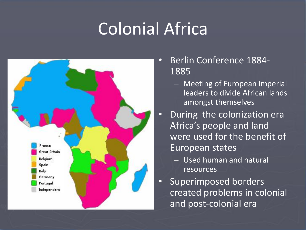# Colonial Africa



- Berlin Conference 1884- 1885
	- Meeting of European Imperial leaders to divide African lands amongst themselves
- During the colonization era Africa's people and land were used for the benefit of European states
	- Used human and natural resources
- Superimposed borders created problems in colonial and post-colonial era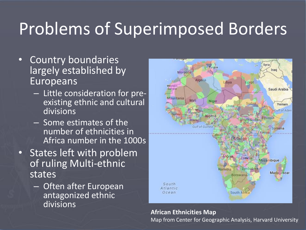## Problems of Superimposed Borders

- Country boundaries largely established by Europeans
	- Little consideration for preexisting ethnic and cultural divisions
	- Some estimates of the number of ethnicities in Africa number in the 1000s
- States left with problem of ruling Multi-ethnic states
	- Often after European antagonized ethnic divisions



#### **African Ethnicities Map**

Map from Center for Geographic Analysis, Harvard University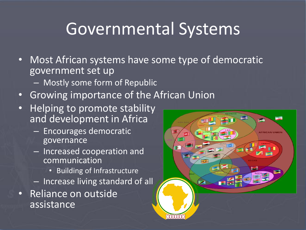## Governmental Systems

- Most African systems have some type of democratic government set up
	- Mostly some form of Republic
- Growing importance of the African Union
- Helping to promote stability and development in Africa
	- Encourages democratic governance
	- Increased cooperation and communication
		- Building of Infrastructure
	- Increase living standard of all
- Reliance on outside assistance

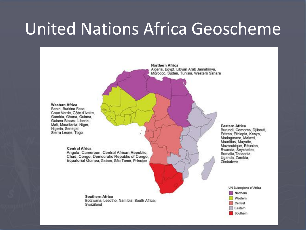#### United Nations Africa Geoscheme

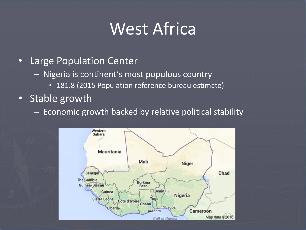## West Africa

- Large Population Center
	- Nigeria is continent's most populous country
		- 181.8 (2015 Population reference bureau estimate)
- Stable growth
	- Economic growth backed by relative political stability

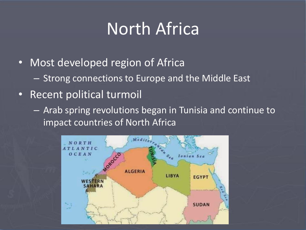## North Africa

- Most developed region of Africa
	- Strong connections to Europe and the Middle East
- Recent political turmoil
	- Arab spring revolutions began in Tunisia and continue to impact countries of North Africa

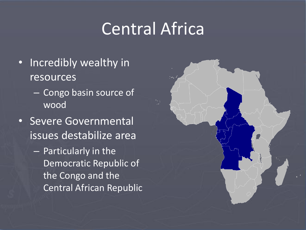## Central Africa

- Incredibly wealthy in resources
	- Congo basin source of wood
- Severe Governmental issues destabilize area
	- Particularly in the Democratic Republic of the Congo and the Central African Republic

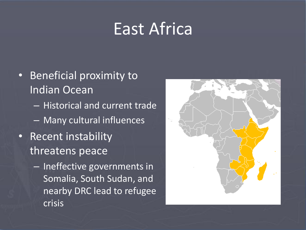## East Africa

- Beneficial proximity to Indian Ocean – Historical and current trade – Many cultural influences • Recent instability threatens peace
	- Ineffective governments in Somalia, South Sudan, and nearby DRC lead to refugee **crisis**